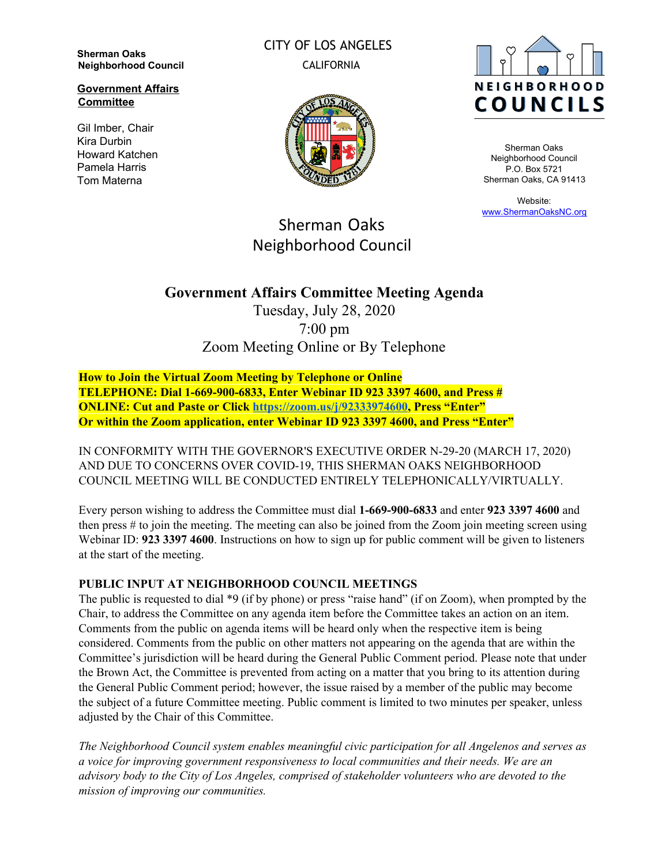**Sherman Oaks Neighborhood Council**

**Government Affairs Committee**

Gil Imber, Chair Kira Durbin Howard Katchen Pamela Harris Tom Materna

CITY OF LOS ANGELES CALIFORNIA





Sherman Oaks Neighborhood Council P.O. Box 5721 Sherman Oaks, CA 91413

Website: [www.ShermanOaksNC.org](http://www.shermanoaksnc.org/)

# Sherman Oaks Neighborhood Council

## **Government Affairs Committee Meeting Agenda**

Tuesday, July 28, 2020 7:00 pm Zoom Meeting Online or By Telephone

**How to Join the Virtual Zoom Meeting by Telephone or Online TELEPHONE: Dial 1-669-900-6833, Enter Webinar ID 923 3397 4600, and Press # ONLINE: Cut and Paste or Click [https://zoom.us/j/92333974600,](https://zoom.us/j/92333974600) Press "Enter" Or within the Zoom application, enter Webinar ID 923 3397 4600, and Press "Enter"**

IN CONFORMITY WITH THE GOVERNOR'S EXECUTIVE ORDER N-29-20 (MARCH 17, 2020) AND DUE TO CONCERNS OVER COVID-19, THIS SHERMAN OAKS NEIGHBORHOOD COUNCIL MEETING WILL BE CONDUCTED ENTIRELY TELEPHONICALLY/VIRTUALLY.

Every person wishing to address the Committee must dial **1-669-900-6833** and enter **923 3397 4600** and then press # to join the meeting. The meeting can also be joined from the Zoom join meeting screen using Webinar ID: **923 3397 4600**. Instructions on how to sign up for public comment will be given to listeners at the start of the meeting.

#### **PUBLIC INPUT AT NEIGHBORHOOD COUNCIL MEETINGS**

The public is requested to dial \*9 (if by phone) or press "raise hand" (if on Zoom), when prompted by the Chair, to address the Committee on any agenda item before the Committee takes an action on an item. Comments from the public on agenda items will be heard only when the respective item is being considered. Comments from the public on other matters not appearing on the agenda that are within the Committee's jurisdiction will be heard during the General Public Comment period. Please note that under the Brown Act, the Committee is prevented from acting on a matter that you bring to its attention during the General Public Comment period; however, the issue raised by a member of the public may become the subject of a future Committee meeting. Public comment is limited to two minutes per speaker, unless adjusted by the Chair of this Committee.

*The Neighborhood Council system enables meaningful civic participation for all Angelenos and serves as a voice for improving government responsiveness to local communities and their needs. We are an advisory body to the City of Los Angeles, comprised of stakeholder volunteers who are devoted to the mission of improving our communities.*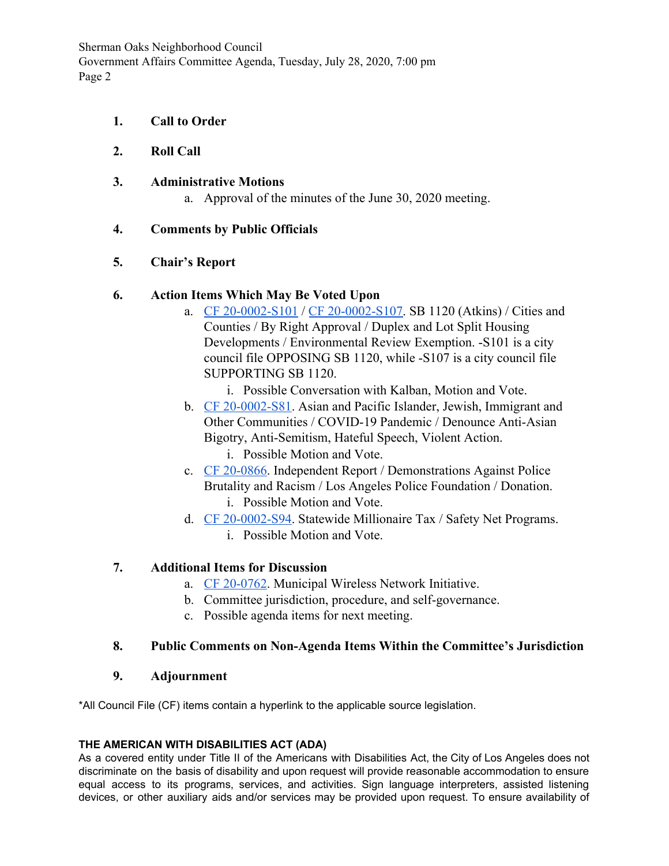Sherman Oaks Neighborhood Council Government Affairs Committee Agenda, Tuesday, July 28, 2020, 7:00 pm Page 2

**1. Call to Order**

### **2. Roll Call**

#### **3. Administrative Motions**

a. Approval of the minutes of the June 30, 2020 meeting.

#### **4. Comments by Public Officials**

#### **5. Chair's Report**

#### **6. Action Items Which May Be Voted Upon**

- a. [CF 20-0002-S101](https://cityclerk.lacity.org/lacityclerkconnect/index.cfm?fa=ccfi.viewrecord&cfnumber=20-0002-S101) / [CF 20-0002-S107.](https://cityclerk.lacity.org/lacityclerkconnect/index.cfm?fa=ccfi.viewrecord&cfnumber=20-0002-S107) SB 1120 (Atkins) / Cities and Counties / By Right Approval / Duplex and Lot Split Housing Developments / Environmental Review Exemption. -S101 is a city council file OPPOSING SB 1120, while -S107 is a city council file SUPPORTING SB 1120.
	- i. Possible Conversation with Kalban, Motion and Vote.
- b. [CF 20-0002-S81](https://cityclerk.lacity.org/lacityclerkconnect/index.cfm?fa=ccfi.viewrecord&cfnumber=20-0002-S81). Asian and Pacific Islander, Jewish, Immigrant and Other Communities / COVID-19 Pandemic / Denounce Anti-Asian Bigotry, Anti-Semitism, Hateful Speech, Violent Action.
	- i. Possible Motion and Vote.
- c. [CF 20-0866](https://cityclerk.lacity.org/lacityclerkconnect/index.cfm?fa=ccfi.viewrecord&cfnumber=20-0866). Independent Report / Demonstrations Against Police Brutality and Racism / Los Angeles Police Foundation / Donation. i. Possible Motion and Vote.
- d. [CF 20-0002-S94](https://cityclerk.lacity.org/lacityclerkconnect/index.cfm?fa=ccfi.viewrecord&cfnumber=20-0002-S94). Statewide Millionaire Tax / Safety Net Programs. i. Possible Motion and Vote.

### **7. Additional Items for Discussion**

- a. [CF 20-0762](https://cityclerk.lacity.org/lacityclerkconnect/index.cfm?fa=ccfi.viewrecord&cfnumber=20-0762). Municipal Wireless Network Initiative.
- b. Committee jurisdiction, procedure, and self-governance.
- c. Possible agenda items for next meeting.

### **8. Public Comments on Non-Agenda Items Within the Committee's Jurisdiction**

#### **9. Adjournment**

\*All Council File (CF) items contain a hyperlink to the applicable source legislation.

#### **THE AMERICAN WITH DISABILITIES ACT (ADA)**

As a covered entity under Title II of the Americans with Disabilities Act, the City of Los Angeles does not discriminate on the basis of disability and upon request will provide reasonable accommodation to ensure equal access to its programs, services, and activities. Sign language interpreters, assisted listening devices, or other auxiliary aids and/or services may be provided upon request. To ensure availability of